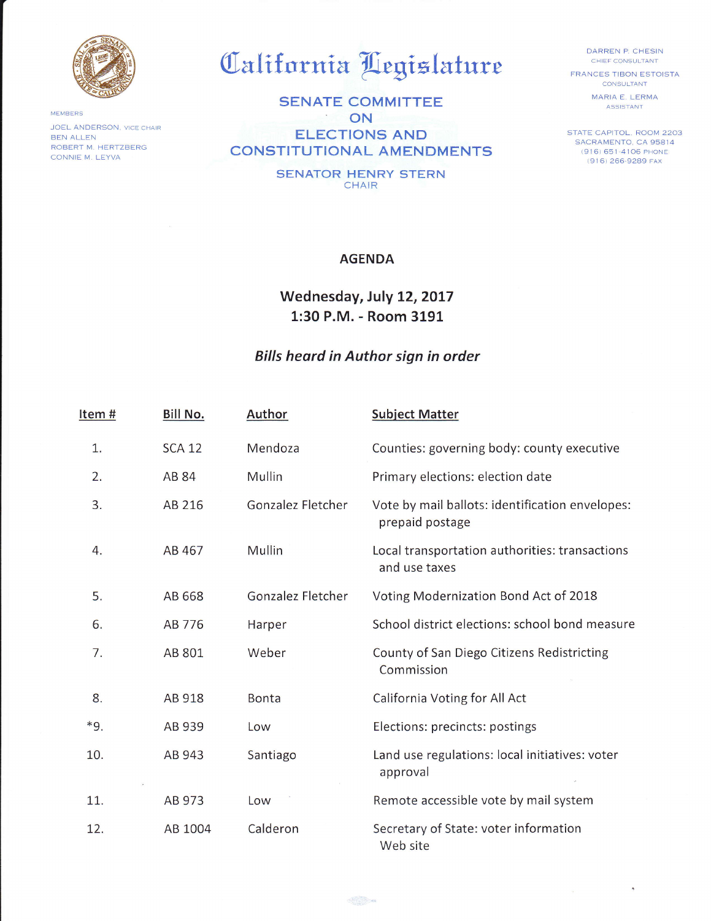

MEMBERS

JOEL ANDERSON, VICE CHAIR BEN ALLEN ROBERT M. HERTZBERG CONNIE M. LEYVA

## California Legislature

SENATE COMMITTEE  $\sim$ ON ELECTIONS AND CONSTITUTIONAL AMENDMENTS

> SENATOR HENRY STERN CHAIR

DARREN P, CHESIN CHIEF CONSULTANT FRANCES TIBON ESTOISTA CONSULTANT

MARIA E, LERMA ASSISTANT

STATE CAPITOL. ROOM 22O3 SACRAMENTO, CA 95814 (916) 651 4106 PHoNE (9 1 6) 266'9289 FAX

## AGENDA

Wednesday, July 12, 2017 1:30 P.M. - Room 3191

## Bills heard in Author sign in order

| Item# | Bill No.      | Author            | <b>Subject Matter</b>                                              |
|-------|---------------|-------------------|--------------------------------------------------------------------|
| 1.    | <b>SCA 12</b> | Mendoza           | Counties: governing body: county executive                         |
| 2.    | AB 84         | Mullin            | Primary elections: election date                                   |
| 3.    | AB 216        | Gonzalez Fletcher | Vote by mail ballots: identification envelopes:<br>prepaid postage |
| 4.    | AB 467        | Mullin            | Local transportation authorities: transactions<br>and use taxes    |
| 5.    | AB 668        | Gonzalez Fletcher | Voting Modernization Bond Act of 2018                              |
| 6.    | AB 776        | Harper            | School district elections: school bond measure                     |
| 7.    | AB 801        | Weber             | County of San Diego Citizens Redistricting<br>Commission           |
| 8.    | AB 918        | <b>Bonta</b>      | California Voting for All Act                                      |
| *9.   | AB 939        | Low               | Elections: precincts: postings                                     |
| 10.   | AB 943        | Santiago          | Land use regulations: local initiatives: voter<br>approval         |
| 11.   | AB 973        | Low               | Remote accessible vote by mail system                              |
| 12.   | AB 1004       | Calderon          | Secretary of State: voter information<br>Web site                  |